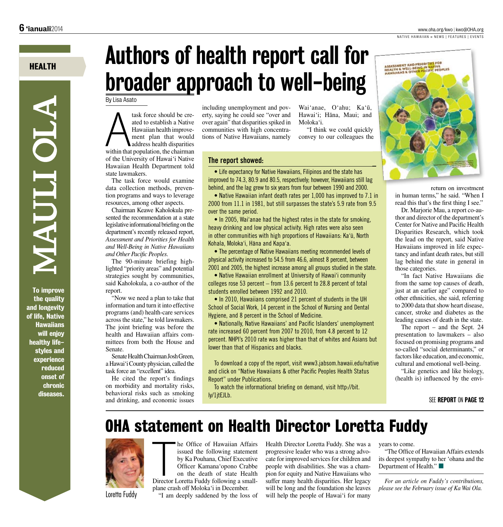#### www.oha.org/kwo | kwo@OHA.org

NATIVE HAWAIIAN » NEWS | FEATURES | EVENTS

## **HEALTH**

**NIAULI OLA** 

**To improve** the quality and longevity of life, Native **Hawaiians** will enjoy healthy lifestyles and experience reduced onset of **chronic** diseases.

# **Authors of health report call for** broader approach to well-being

By Lisa Asato

task force should be created to establish a Native Hawaiian health improvement plan that would address health disparities within that population, the chairman of the University of Hawai'i Native Hawaiian Health Department told state lawmakers.

The task force would examine data collection methods, prevention programs and ways to leverage resources, among other aspects.

Chairman Keawe Kaholokula presented the recommendation at a state legislative informational briefing on the department's recently released report, Assessment and Priorities for Health and Well-Being in Native Hawaiians and Other Pacific Peoples.

The 90-minute briefing highlighted "priority areas" and potential strategies sought by communities, said Kaholokula, a co-author of the report.

"Now we need a plan to take that information and turn it into effective programs (and) health-care services across the state." he told lawmakers. The joint briefing was before the health and Hawaiian affairs committees from both the House and Senate.

Senate Health Chairman Josh Green. a Hawai'i County physician, called the task force an "excellent" idea.

He cited the report's findings on morbidity and mortality risks, behavioral risks such as smoking and drinking, and economic issues

including unemployment and poverty, saying he could see "over and over again" that disparities spiked in communities with high concentrations of Native Hawaiians, namely

Wai'anae, O'ahu; Ka'ū, Hawai'i: Hāna, Maui: and Moloka'i.

"I think we could quickly convey to our colleagues the



return on investment in human terms," he said. "When I read this that's the first thing I see."

Dr. Marjorie Mau, a report co-author and director of the department's Center for Native and Pacific Health Disparities Research, which took the lead on the report, said Native Hawaiians improved in life expectancy and infant death rates, but still lag behind the state in general in those categories.

"In fact Native Hawaiians die from the same top causes of death, just at an earlier age" compared to other ethnicities, she said, referring to 2000 data that show heart disease. cancer, stroke and diabetes as the leading causes of death in the state.

The report  $-$  and the Sept. 24 presentation to lawmakers - also focused on promising programs and so-called "social determinants," or factors like education, and economic. cultural and emotional well-being.

"Like genetics and like biology, (health is) influenced by the envi-

### The report showed:

• Life expectancy for Native Hawaiians, Filipinos and the state has improved to 74.3, 80.9 and 80.5, respectively; however, Hawaiians still lag behind, and the lag grew to six years from four between 1990 and 2000.

• Native Hawaiian infant death rates per 1,000 has improved to 7.1 in 2000 from 11.1 in 1981, but still surpasses the state's 5.9 rate from 9.5 over the same period.

• In 2005, Wai'anae had the highest rates in the state for smoking, heavy drinking and low physical activity. High rates were also seen in other communities with high proportions of Hawaiians: Ka'ū, North Kohala, Moloka'i, Hāna and Kapa'a.

• The percentage of Native Hawaiians meeting recommended levels of physical activity increased to 54.5 from 46.6, almost 8 percent, between 2001 and 2005, the highest increase among all groups studied in the state.

• Native Hawaiian enrollment at University of Hawai'i community colleges rose 53 percent  $-$  from 13.6 percent to 28.8 percent of total students enrolled between 1992 and 2010.

• In 2010, Hawaiians comprised 21 percent of students in the UH School of Social Work, 14 percent in the School of Nursing and Dental Hygiene, and 8 percent in the School of Medicine.

• Nationally, Native Hawaiians' and Pacific Islanders' unemployment rate increased 60 percent from 2007 to 2010, from 4.8 percent to 12 percent. NHPI's 2010 rate was higher than that of whites and Asians but lower than that of Hispanics and blacks.

To download a copy of the report, visit www3.jabsom.hawaii.edu/native and click on "Native Hawaiians & other Pacific Peoples Health Status Report" under Publications.

To watch the informational briefing on demand, visit http://bit. ly/1itEJLb.